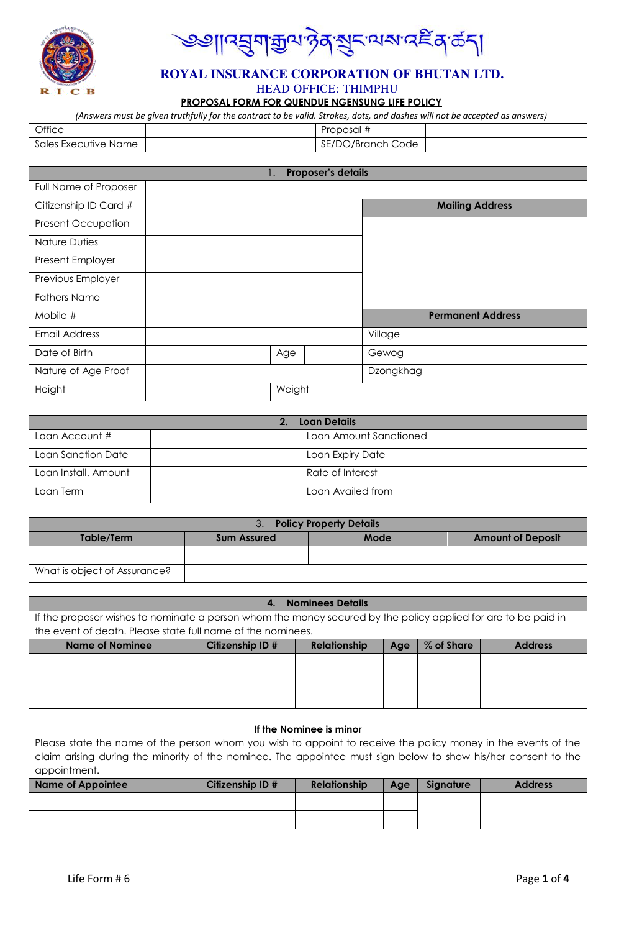

੶ৡ**য়ৼড়ড়৸ড়ড়ড়ড়ড়ড়ড়**  $\mathbf{z}$ ।বহ্রম

#### **ROYAL INSURANCE CORPORATION OF BHUTAN LTD.** HEAD OFFICE: THIMPHU

**PROPOSAL FORM FOR QUENDUE NGENSUNG LIFE POLICY**

*(Answers must be given truthfully for the contract to be valid. Strokes, dots, and dashes will not be accepted as answers)*

| Office               | Proposal #        |  |
|----------------------|-------------------|--|
| Sales Executive Name | SE/DO/Branch Code |  |

| Proposer's details<br>ι.  |  |        |  |           |                          |  |
|---------------------------|--|--------|--|-----------|--------------------------|--|
| Full Name of Proposer     |  |        |  |           |                          |  |
| Citizenship ID Card #     |  |        |  |           | <b>Mailing Address</b>   |  |
| <b>Present Occupation</b> |  |        |  |           |                          |  |
| Nature Duties             |  |        |  |           |                          |  |
| Present Employer          |  |        |  |           |                          |  |
| Previous Employer         |  |        |  |           |                          |  |
| <b>Fathers Name</b>       |  |        |  |           |                          |  |
| Mobile #                  |  |        |  |           | <b>Permanent Address</b> |  |
| <b>Email Address</b>      |  |        |  | Village   |                          |  |
| Date of Birth             |  | Age    |  | Gewog     |                          |  |
| Nature of Age Proof       |  |        |  | Dzongkhag |                          |  |
| Height                    |  | Weight |  |           |                          |  |

| Loan Details         |  |                        |  |  |  |  |
|----------------------|--|------------------------|--|--|--|--|
| Loan Account #       |  | Loan Amount Sanctioned |  |  |  |  |
| Loan Sanction Date   |  | Loan Expiry Date       |  |  |  |  |
| Loan Install, Amount |  | Rate of Interest       |  |  |  |  |
| Loan Term            |  | Loan Availed from      |  |  |  |  |

| <b>Policy Property Details</b><br>3. |                    |      |                          |  |  |  |
|--------------------------------------|--------------------|------|--------------------------|--|--|--|
| Table/Term                           | <b>Sum Assured</b> | Mode | <b>Amount of Deposit</b> |  |  |  |
|                                      |                    |      |                          |  |  |  |
| What is object of Assurance?         |                    |      |                          |  |  |  |

| <b>Nominees Details</b><br>4                                                                                   |                  |                     |     |            |                |  |  |
|----------------------------------------------------------------------------------------------------------------|------------------|---------------------|-----|------------|----------------|--|--|
| If the proposer wishes to nominate a person whom the money secured by the policy applied for are to be paid in |                  |                     |     |            |                |  |  |
| the event of death. Please state full name of the nominees.                                                    |                  |                     |     |            |                |  |  |
| <b>Name of Nominee</b>                                                                                         | Citizenship ID # | <b>Relationship</b> | Age | % of Share | <b>Address</b> |  |  |
|                                                                                                                |                  |                     |     |            |                |  |  |
|                                                                                                                |                  |                     |     |            |                |  |  |
|                                                                                                                |                  |                     |     |            |                |  |  |
|                                                                                                                |                  |                     |     |            |                |  |  |
|                                                                                                                |                  |                     |     |            |                |  |  |

## **If the Nominee is minor** Please state the name of the person whom you wish to appoint to receive the policy money in the events of the claim arising during the minority of the nominee. The appointee must sign below to show his/her consent to the appointment. **Name of Appointee Citizenship ID # Relationship Age Signature Address**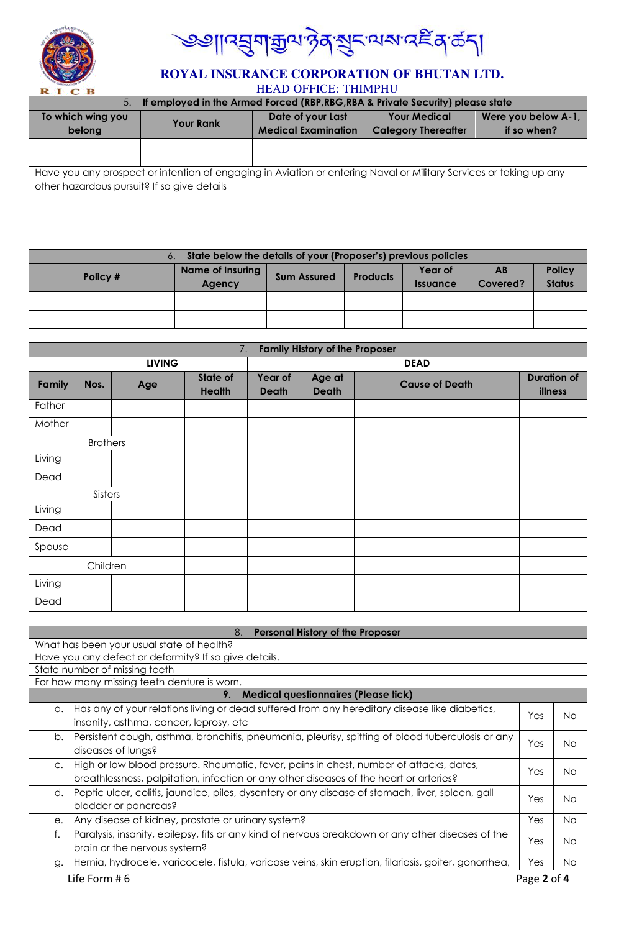

<mark>৩৩</mark>॥৭য়ৢঀ৾ড়ৢঢ়<sub>৸</sub>ৡ৾ঀ৾*য়৾ৼ*৽৸৶৻৻ৼৣৼ৾ঀ৾ৼঢ়৾৾

# **ROYAL INSURANCE CORPORATION OF BHUTAN LTD.**

HEAD OFFICE: THIMPHU

| If employed in the Armed Forced (RBP, RBG, RBA & Private Security) please state<br>5. |                                                                                                                    |                                                                |                                          |                               |                     |               |  |
|---------------------------------------------------------------------------------------|--------------------------------------------------------------------------------------------------------------------|----------------------------------------------------------------|------------------------------------------|-------------------------------|---------------------|---------------|--|
| To which wing you                                                                     | <b>Your Rank</b>                                                                                                   |                                                                | <b>Your Medical</b><br>Date of your Last |                               | Were you below A-1, |               |  |
| belong                                                                                |                                                                                                                    | <b>Medical Examination</b>                                     |                                          | <b>Category Thereafter</b>    | if so when?         |               |  |
|                                                                                       |                                                                                                                    |                                                                |                                          |                               |                     |               |  |
|                                                                                       |                                                                                                                    |                                                                |                                          |                               |                     |               |  |
|                                                                                       | Have you any prospect or intention of engaging in Aviation or entering Naval or Military Services or taking up any |                                                                |                                          |                               |                     |               |  |
| other hazardous pursuit? If so give details                                           |                                                                                                                    |                                                                |                                          |                               |                     |               |  |
|                                                                                       |                                                                                                                    |                                                                |                                          |                               |                     |               |  |
|                                                                                       |                                                                                                                    |                                                                |                                          |                               |                     |               |  |
|                                                                                       |                                                                                                                    |                                                                |                                          |                               |                     |               |  |
|                                                                                       |                                                                                                                    |                                                                |                                          |                               |                     |               |  |
|                                                                                       | 6.                                                                                                                 | State below the details of your (Proposer's) previous policies |                                          |                               |                     |               |  |
| Policy #                                                                              | <b>Name of Insuring</b>                                                                                            | <b>Sum Assured</b>                                             | <b>Products</b>                          | Year of                       | AB                  | <b>Policy</b> |  |
|                                                                                       | Agency                                                                                                             |                                                                |                                          | <i><u><b>Issuance</b></u></i> | Covered?            | <b>Status</b> |  |
|                                                                                       |                                                                                                                    |                                                                |                                          |                               |                     |               |  |
|                                                                                       |                                                                                                                    |                                                                |                                          |                               |                     |               |  |
|                                                                                       |                                                                                                                    |                                                                |                                          |                               |                     |               |  |

|        | <b>Family History of the Proposer</b><br>7. |               |                    |                         |                        |                       |                               |  |  |  |
|--------|---------------------------------------------|---------------|--------------------|-------------------------|------------------------|-----------------------|-------------------------------|--|--|--|
|        |                                             | <b>LIVING</b> |                    |                         | <b>DEAD</b>            |                       |                               |  |  |  |
| Family | Nos.                                        | Age           | State of<br>Health | Year of<br><b>Death</b> | Age at<br><b>Death</b> | <b>Cause of Death</b> | <b>Duration of</b><br>illness |  |  |  |
| Father |                                             |               |                    |                         |                        |                       |                               |  |  |  |
| Mother |                                             |               |                    |                         |                        |                       |                               |  |  |  |
|        | <b>Brothers</b>                             |               |                    |                         |                        |                       |                               |  |  |  |
| Living |                                             |               |                    |                         |                        |                       |                               |  |  |  |
| Dead   |                                             |               |                    |                         |                        |                       |                               |  |  |  |
|        | Sisters                                     |               |                    |                         |                        |                       |                               |  |  |  |
| Living |                                             |               |                    |                         |                        |                       |                               |  |  |  |
| Dead   |                                             |               |                    |                         |                        |                       |                               |  |  |  |
| Spouse |                                             |               |                    |                         |                        |                       |                               |  |  |  |
|        | Children                                    |               |                    |                         |                        |                       |                               |  |  |  |
| Living |                                             |               |                    |                         |                        |                       |                               |  |  |  |
| Dead   |                                             |               |                    |                         |                        |                       |                               |  |  |  |

|                                                                                                           | 8.<br><b>Personal History of the Proposer</b>                                                         |  |             |     |  |  |  |  |
|-----------------------------------------------------------------------------------------------------------|-------------------------------------------------------------------------------------------------------|--|-------------|-----|--|--|--|--|
|                                                                                                           | What has been your usual state of health?                                                             |  |             |     |  |  |  |  |
| Have you any defect or deformity? If so give details.                                                     |                                                                                                       |  |             |     |  |  |  |  |
|                                                                                                           | State number of missing teeth                                                                         |  |             |     |  |  |  |  |
|                                                                                                           | For how many missing teeth denture is worn.                                                           |  |             |     |  |  |  |  |
|                                                                                                           | <b>Medical questionnaires (Please tick)</b><br>9.                                                     |  |             |     |  |  |  |  |
| a.                                                                                                        | Has any of your relations living or dead suffered from any hereditary disease like diabetics,         |  |             | No  |  |  |  |  |
|                                                                                                           | Yes<br>insanity, asthma, cancer, leprosy, etc                                                         |  |             |     |  |  |  |  |
| b. Persistent cough, asthma, bronchitis, pneumonia, pleurisy, spitting of blood tuberculosis or any       |                                                                                                       |  |             |     |  |  |  |  |
|                                                                                                           | Yes<br>Nο<br>diseases of lungs?                                                                       |  |             |     |  |  |  |  |
| High or low blood pressure. Rheumatic, fever, pains in chest, number of attacks, dates,<br>$\mathsf{C}$ . |                                                                                                       |  |             |     |  |  |  |  |
|                                                                                                           | Yes<br>Nο<br>breathlessness, palpitation, infection or any other diseases of the heart or arteries?   |  |             |     |  |  |  |  |
| d.                                                                                                        | Peptic ulcer, colitis, jaundice, piles, dysentery or any disease of stomach, liver, spleen, gall      |  |             |     |  |  |  |  |
|                                                                                                           | bladder or pancreas?                                                                                  |  | Yes         | No  |  |  |  |  |
| e.                                                                                                        | Any disease of kidney, prostate or urinary system?<br>Yes<br>No.                                      |  |             |     |  |  |  |  |
| f.                                                                                                        | Paralysis, insanity, epilepsy, fits or any kind of nervous breakdown or any other diseases of the     |  |             |     |  |  |  |  |
|                                                                                                           | brain or the nervous system?                                                                          |  | Yes         | Nο  |  |  |  |  |
| g.                                                                                                        | Hernia, hydrocele, varicocele, fistula, varicose veins, skin eruption, filariasis, goiter, gonorrhea, |  | Yes         | No. |  |  |  |  |
|                                                                                                           | Life Form # 6                                                                                         |  | Page 2 of 4 |     |  |  |  |  |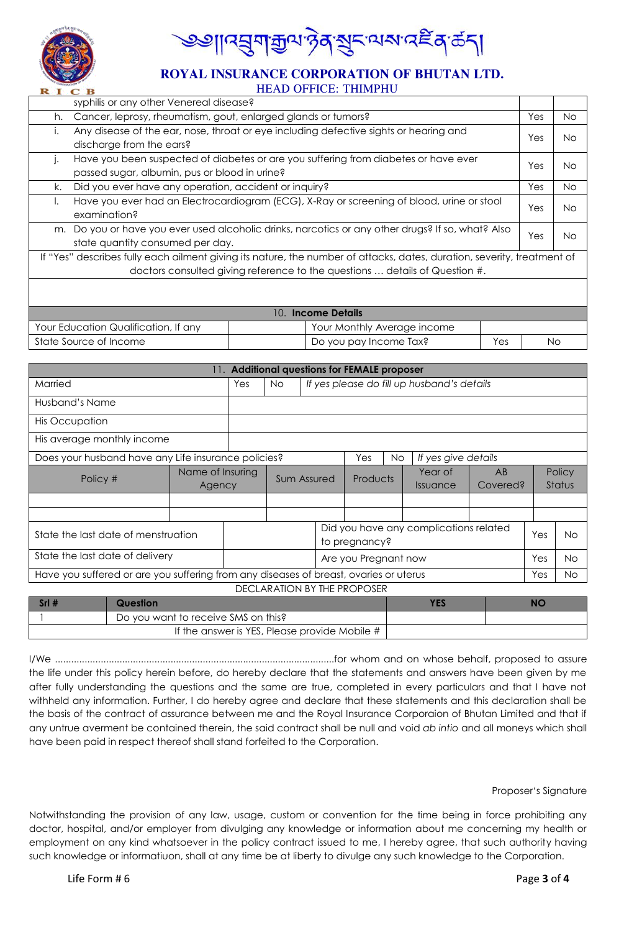

୲୳য়য়৸য়৸ড়৸ৼঀৼৼ৸৸ৼ৻ৼঀ৻ড়৻৸

#### **ROYAL INSURANCE CORPORATION OF BHUTAN LTD.** HEAD OFFICE: THIMPHU

|                                                                                                                                                      | syphilis or any other Venereal disease?                       |                                                                                                                         |     |     |  |  |  |
|------------------------------------------------------------------------------------------------------------------------------------------------------|---------------------------------------------------------------|-------------------------------------------------------------------------------------------------------------------------|-----|-----|--|--|--|
| h.                                                                                                                                                   | Cancer, leprosy, rheumatism, gout, enlarged glands or tumors? |                                                                                                                         |     |     |  |  |  |
| Any disease of the ear, nose, throat or eye including defective sights or hearing and<br>Ι.<br>discharge from the ears?                              |                                                               |                                                                                                                         |     |     |  |  |  |
| Have you been suspected of diabetes or are you suffering from diabetes or have ever<br>$\mathsf{L}$<br>passed sugar, albumin, pus or blood in urine? |                                                               |                                                                                                                         |     |     |  |  |  |
| Did you ever have any operation, accident or inquiry?<br>k.                                                                                          |                                                               |                                                                                                                         |     |     |  |  |  |
| Have you ever had an Electrocardiogram (ECG), X-Ray or screening of blood, urine or stool<br>Ι.<br>Yes<br>examination?                               |                                                               |                                                                                                                         |     |     |  |  |  |
|                                                                                                                                                      | state quantity consumed per day.                              | m. Do you or have you ever used alcoholic drinks, narcotics or any other drugs? If so, what? Also                       | Yes | No. |  |  |  |
|                                                                                                                                                      |                                                               | If "Yes" describes fully each ailment giving its nature, the number of attacks, dates, duration, severity, treatment of |     |     |  |  |  |
|                                                                                                                                                      |                                                               | doctors consulted giving reference to the questions  details of Question #.                                             |     |     |  |  |  |
|                                                                                                                                                      |                                                               |                                                                                                                         |     |     |  |  |  |
|                                                                                                                                                      | 10. Income Details                                            |                                                                                                                         |     |     |  |  |  |
|                                                                                                                                                      | Your Education Qualification, If any                          | Your Monthly Average income                                                                                             |     |     |  |  |  |
| State Source of Income<br>Do you pay Income Tax?<br>Yes                                                                                              |                                                               |                                                                                                                         |     | No  |  |  |  |

| 11. Additional questions for FEMALE proposer                                          |                  |                      |                                                  |             |  |               |           |                                        |          |     |               |
|---------------------------------------------------------------------------------------|------------------|----------------------|--------------------------------------------------|-------------|--|---------------|-----------|----------------------------------------|----------|-----|---------------|
| Married                                                                               |                  | Yes                  | If yes please do fill up husband's details<br>No |             |  |               |           |                                        |          |     |               |
| Husband's Name                                                                        |                  |                      |                                                  |             |  |               |           |                                        |          |     |               |
| His Occupation                                                                        |                  |                      |                                                  |             |  |               |           |                                        |          |     |               |
| His average monthly income                                                            |                  |                      |                                                  |             |  |               |           |                                        |          |     |               |
| Does your husband have any Life insurance policies?                                   |                  |                      |                                                  |             |  | Yes           | <b>No</b> | If yes give details                    |          |     |               |
| Policy #                                                                              | Name of Insuring |                      |                                                  |             |  | Products      |           | Year of                                | AB       |     | Policy        |
|                                                                                       |                  | Agency               |                                                  | Sum Assured |  |               |           | <i><u><b>Issuance</b></u></i>          | Covered? |     | <b>Status</b> |
|                                                                                       |                  |                      |                                                  |             |  |               |           |                                        |          |     |               |
|                                                                                       |                  |                      |                                                  |             |  |               |           |                                        |          |     |               |
| State the last date of menstruation                                                   |                  |                      |                                                  |             |  |               |           | Did you have any complications related |          | Yes | No.           |
|                                                                                       |                  |                      |                                                  |             |  | to pregnancy? |           |                                        |          |     |               |
| State the last date of delivery                                                       |                  | Are you Pregnant now |                                                  |             |  | Yes           | No.       |                                        |          |     |               |
| Have you suffered or are you suffering from any diseases of breast, ovaries or uterus |                  |                      |                                                  |             |  | Yes           | No.       |                                        |          |     |               |
| DECLARATION BY THE PROPOSER                                                           |                  |                      |                                                  |             |  |               |           |                                        |          |     |               |

| Question                                      |  |
|-----------------------------------------------|--|
| Do you want to receive SMS on this?           |  |
| If the answer is YES, Please provide Mobile # |  |

I/We ........................................................................................................for whom and on whose behalf, proposed to assure the life under this policy herein before, do hereby declare that the statements and answers have been given by me after fully understanding the questions and the same are true, completed in every particulars and that I have not withheld any information. Further, I do hereby agree and declare that these statements and this declaration shall be the basis of the contract of assurance between me and the Royal Insurance Corporaion of Bhutan Limited and that if any untrue averment be contained therein, the said contract shall be null and void *ab intio* and all moneys which shall have been paid in respect thereof shall stand forfeited to the Corporation.

#### Proposer"s Signature

Notwithstanding the provision of any law, usage, custom or convention for the time being in force prohibiting any doctor, hospital, and/or employer from divulging any knowledge or information about me concerning my health or employment on any kind whatsoever in the policy contract issued to me, I hereby agree, that such authority having such knowledge or informatiuon, shall at any time be at liberty to divulge any such knowledge to the Corporation.